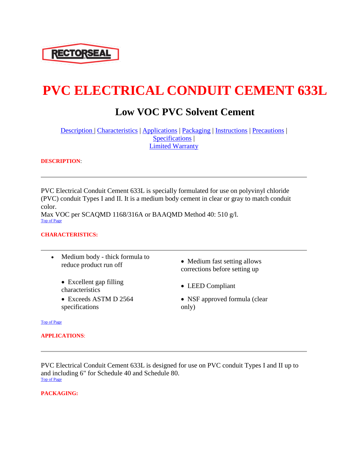

# **PVC ELECTRICAL CONDUIT CEMENT 633L**

# **Low VOC PVC Solvent Cement**

[Description |](http://ows.rectorseal.com/product-data/PVC-Electrical-Conduit-Cement/dspvclow.html#desc) [Characteristics](http://ows.rectorseal.com/product-data/PVC-Electrical-Conduit-Cement/dspvclow.html#charact) | [Applications](http://ows.rectorseal.com/product-data/PVC-Electrical-Conduit-Cement/dspvclow.html#applicate) | [Packaging](http://ows.rectorseal.com/product-data/PVC-Electrical-Conduit-Cement/dspvclow.html#package) | [Instructions](http://ows.rectorseal.com/product-data/PVC-Electrical-Conduit-Cement/dspvclow.html#instruction) | [Precautions](http://ows.rectorseal.com/product-data/PVC-Electrical-Conduit-Cement/dspvclow.html#anchor358645) | [Specifications](http://ows.rectorseal.com/product-data/PVC-Electrical-Conduit-Cement/dspvclow.html#anchor363144) | [Limited Warranty](http://ows.rectorseal.com/product-data/PVC-Electrical-Conduit-Cement/dspvclow.html#anchor366645)

#### **DESCRIPTION**:

PVC Electrical Conduit Cement 633L is specially formulated for use on polyvinyl chloride (PVC) conduit Types I and II. It is a medium body cement in clear or gray to match conduit color. Max VOC per SCAQMD 1168/316A or BAAQMD Method 40: 510 g/l. [Top of Page](http://ows.rectorseal.com/product-data/PVC-Electrical-Conduit-Cement/dspvclow.html#anchor568367)

### **CHARACTERISTICS:**

- Medium body thick formula to reduce product run off <br>
Medium fast setting allows
	- Excellent gap filling • Execution gap mining<br>characteristics • LEED Compliant
	- Exceeds ASTM D 2564 specifications
- corrections before setting up
- 
- NSF approved formula (clear only)

#### [Top of Page](http://ows.rectorseal.com/product-data/PVC-Electrical-Conduit-Cement/dspvclow.html#anchor568367)

#### **APPLICATIONS**:

PVC Electrical Conduit Cement 633L is designed for use on PVC conduit Types I and II up to and including 6" for Schedule 40 and Schedule 80. [Top of Page](http://ows.rectorseal.com/product-data/PVC-Electrical-Conduit-Cement/dspvclow.html#anchor568367)

#### **PACKAGING:**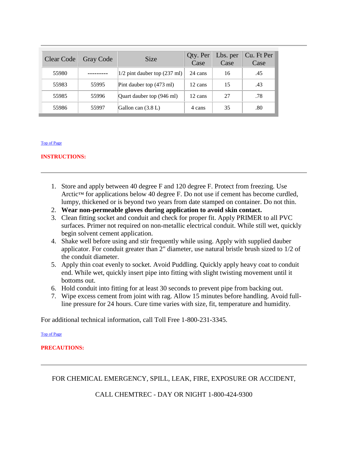| Clear Code | Gray Code | <b>Size</b>                              | Qty. Per<br>Case | Lbs. per<br>Case | Cu. Ft Per<br>Case |
|------------|-----------|------------------------------------------|------------------|------------------|--------------------|
| 55980      |           | $1/2$ pint dauber top $(237 \text{ ml})$ | 24 cans          | 16               | .45                |
| 55983      | 55995     | Pint dauber top (473 ml)                 | 12 cans          | 15               | .43                |
| 55985      | 55996     | Quart dauber top (946 ml)                | 12 cans          | 27               | .78                |
| 55986      | 55997     | Gallon can $(3.8 L)$                     | 4 cans           | 35               | .80                |

#### [Top of Page](http://ows.rectorseal.com/product-data/PVC-Electrical-Conduit-Cement/dspvclow.html#anchor568367)

#### **INSTRUCTIONS:**

- 1. Store and apply between 40 degree F and 120 degree F. Protect from freezing. Use Arctic™ for applications below 40 degree F. Do not use if cement has become curdled, lumpy, thickened or is beyond two years from date stamped on container. Do not thin.
- 2. **Wear non-permeable gloves during application to avoid skin contact.**
- 3. Clean fitting socket and conduit and check for proper fit. Apply PRIMER to all PVC surfaces. Primer not required on non-metallic electrical conduit. While still wet, quickly begin solvent cement application.
- 4. Shake well before using and stir frequently while using. Apply with supplied dauber applicator. For conduit greater than 2" diameter, use natural bristle brush sized to 1/2 of the conduit diameter.
- 5. Apply thin coat evenly to socket. Avoid Puddling. Quickly apply heavy coat to conduit end. While wet, quickly insert pipe into fitting with slight twisting movement until it bottoms out.
- 6. Hold conduit into fitting for at least 30 seconds to prevent pipe from backing out.
- 7. Wipe excess cement from joint with rag. Allow 15 minutes before handling. Avoid fullline pressure for 24 hours. Cure time varies with size, fit, temperature and humidity.

For additional technical information, call Toll Free 1-800-231-3345.

[Top of Page](http://ows.rectorseal.com/product-data/PVC-Electrical-Conduit-Cement/dspvclow.html#anchor568367)

#### **PRECAUTIONS:**

FOR CHEMICAL EMERGENCY, SPILL, LEAK, FIRE, EXPOSURE OR ACCIDENT,

CALL CHEMTREC - DAY OR NIGHT 1-800-424-9300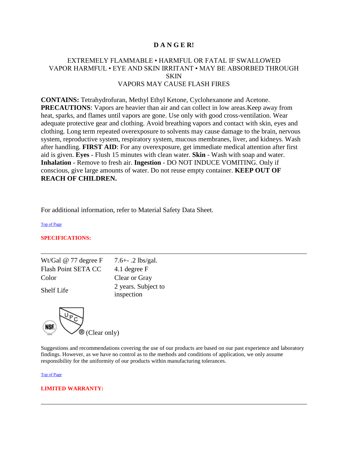## **D A N G E R!**

# EXTREMELY FLAMMABLE • HARMFUL OR FATAL IF SWALLOWED VAPOR HARMFUL • EYE AND SKIN IRRITANT • MAY BE ABSORBED THROUGH **SKIN** VAPORS MAY CAUSE FLASH FIRES

**CONTAINS:** Tetrahydrofuran, Methyl Ethyl Ketone, Cyclohexanone and Acetone. **PRECAUTIONS:** Vapors are heavier than air and can collect in low areas. Keep away from heat, sparks, and flames until vapors are gone. Use only with good cross-ventilation. Wear adequate protective gear and clothing. Avoid breathing vapors and contact with skin, eyes and clothing. Long term repeated overexposure to solvents may cause damage to the brain, nervous system, reproductive system, respiratory system, mucous membranes, liver, and kidneys. Wash after handling. **FIRST AID**: For any overexposure, get immediate medical attention after first aid is given. **Eyes** - Flush 15 minutes with clean water. **Skin** - Wash with soap and water. **Inhalation** - Remove to fresh air. **Ingestion** - DO NOT INDUCE VOMITING. Only if conscious, give large amounts of water. Do not reuse empty container. **KEEP OUT OF REACH OF CHILDREN.**

For additional information, refer to Material Safety Data Sheet.

[Top of Page](http://ows.rectorseal.com/product-data/PVC-Electrical-Conduit-Cement/dspvclow.html#anchor568367)

#### **SPECIFICATIONS:**

| Wt/Gal $@$ 77 degree F | 7.6+ $-$ .2 lbs/gal.              |
|------------------------|-----------------------------------|
| Flash Point SETA CC    | 4.1 degree F                      |
| Color                  | Clear or Gray                     |
| <b>Shelf Life</b>      | 2 years. Subject to<br>inspection |



Suggestions and recommendations covering the use of our products are based on our past experience and laboratory findings. However, as we have no control as to the methods and conditions of application, we only assume responsibility for the uniformity of our products within manufacturing tolerances.

[Top of Page](http://ows.rectorseal.com/product-data/PVC-Electrical-Conduit-Cement/dspvclow.html#anchor568367)

#### **LIMITED WARRANTY:**